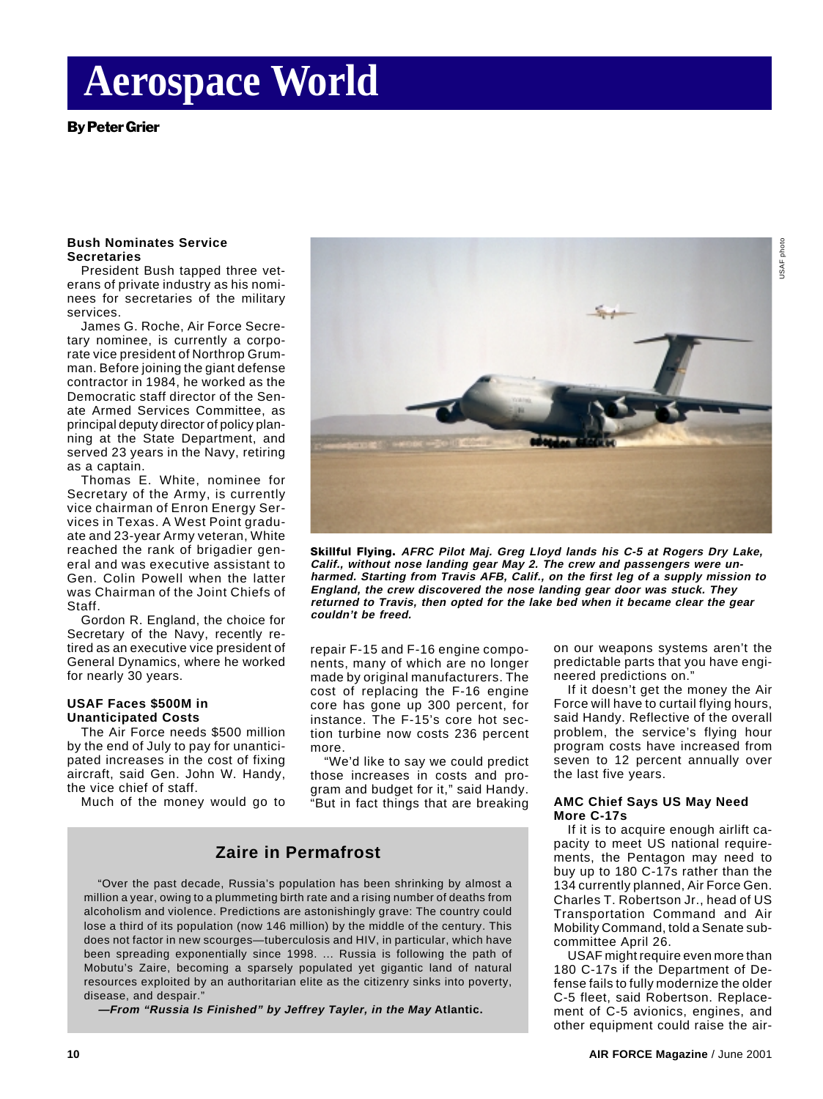# **Aerospace World**

By Peter Grier

#### **Bush Nominates Service Secretaries**

President Bush tapped three veterans of private industry as his nominees for secretaries of the military services.

James G. Roche, Air Force Secretary nominee, is currently a corporate vice president of Northrop Grumman. Before joining the giant defense contractor in 1984, he worked as the Democratic staff director of the Senate Armed Services Committee, as principal deputy director of policy planning at the State Department, and served 23 years in the Navy, retiring as a captain.

Thomas E. White, nominee for Secretary of the Army, is currently vice chairman of Enron Energy Services in Texas. A West Point graduate and 23-year Army veteran, White reached the rank of brigadier general and was executive assistant to Gen. Colin Powell when the latter was Chairman of the Joint Chiefs of Staff.

Gordon R. England, the choice for Secretary of the Navy, recently retired as an executive vice president of General Dynamics, where he worked for nearly 30 years.

#### **USAF Faces \$500M in Unanticipated Costs**

The Air Force needs \$500 million by the end of July to pay for unanticipated increases in the cost of fixing aircraft, said Gen. John W. Handy, the vice chief of staff.

Much of the money would go to



**Skillful Flying. AFRC Pilot Maj. Greg Lloyd lands his C-5 at Rogers Dry Lake, Calif., without nose landing gear May 2. The crew and passengers were unharmed. Starting from Travis AFB, Calif., on the first leg of a supply mission to England, the crew discovered the nose landing gear door was stuck. They returned to Travis, then opted for the lake bed when it became clear the gear couldn't be freed.**

repair F-15 and F-16 engine components, many of which are no longer made by original manufacturers. The cost of replacing the F-16 engine core has gone up 300 percent, for instance. The F-15's core hot section turbine now costs 236 percent more.

"We'd like to say we could predict those increases in costs and program and budget for it," said Handy. "But in fact things that are breaking

## **Zaire in Permafrost**

"Over the past decade, Russia's population has been shrinking by almost a million a year, owing to a plummeting birth rate and a rising number of deaths from alcoholism and violence. Predictions are astonishingly grave: The country could lose a third of its population (now 146 million) by the middle of the century. This does not factor in new scourges—tuberculosis and HIV, in particular, which have been spreading exponentially since 1998. ... Russia is following the path of Mobutu's Zaire, becoming a sparsely populated yet gigantic land of natural resources exploited by an authoritarian elite as the citizenry sinks into poverty, disease, and despair.

**—From "Russia Is Finished" by Jeffrey Tayler, in the May Atlantic.**

on our weapons systems aren't the predictable parts that you have engineered predictions on."

If it doesn't get the money the Air Force will have to curtail flying hours, said Handy. Reflective of the overall problem, the service's flying hour program costs have increased from seven to 12 percent annually over the last five years.

#### **AMC Chief Says US May Need More C-17s**

If it is to acquire enough airlift capacity to meet US national requirements, the Pentagon may need to buy up to 180 C-17s rather than the 134 currently planned, Air Force Gen. Charles T. Robertson Jr., head of US Transportation Command and Air Mobility Command, told a Senate subcommittee April 26.

USAF might require even more than 180 C-17s if the Department of Defense fails to fully modernize the older C-5 fleet, said Robertson. Replacement of C-5 avionics, engines, and other equipment could raise the air-

USAF photo

USAF photo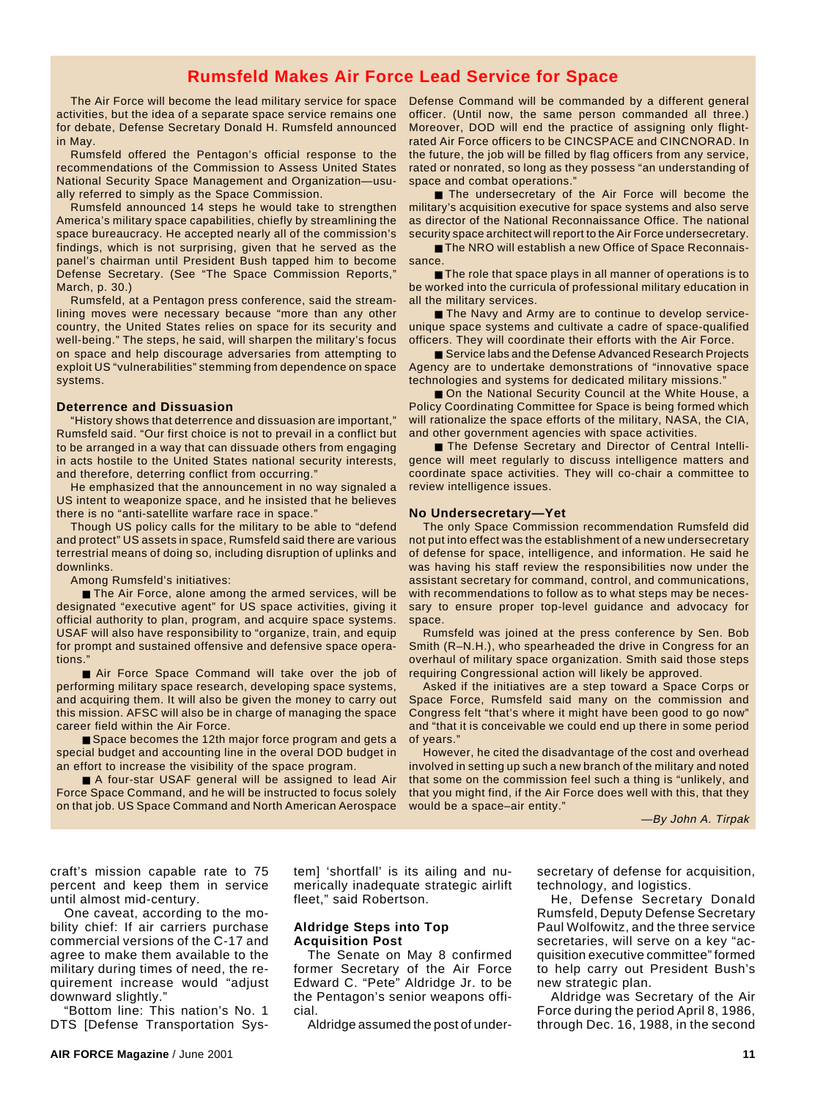## **Rumsfeld Makes Air Force Lead Service for Space**

The Air Force will become the lead military service for space activities, but the idea of a separate space service remains one for debate, Defense Secretary Donald H. Rumsfeld announced in May.

Rumsfeld offered the Pentagon's official response to the recommendations of the Commission to Assess United States National Security Space Management and Organization—usually referred to simply as the Space Commission.

Rumsfeld announced 14 steps he would take to strengthen America's military space capabilities, chiefly by streamlining the space bureaucracy. He accepted nearly all of the commission's findings, which is not surprising, given that he served as the panel's chairman until President Bush tapped him to become Defense Secretary. (See "The Space Commission Reports," March, p. 30.)

Rumsfeld, at a Pentagon press conference, said the streamlining moves were necessary because "more than any other country, the United States relies on space for its security and well-being." The steps, he said, will sharpen the military's focus on space and help discourage adversaries from attempting to exploit US "vulnerabilities" stemming from dependence on space systems.

#### **Deterrence and Dissuasion**

"History shows that deterrence and dissuasion are important," Rumsfeld said. "Our first choice is not to prevail in a conflict but to be arranged in a way that can dissuade others from engaging in acts hostile to the United States national security interests, and therefore, deterring conflict from occurring."

He emphasized that the announcement in no way signaled a US intent to weaponize space, and he insisted that he believes there is no "anti-satellite warfare race in space."

Though US policy calls for the military to be able to "defend and protect" US assets in space, Rumsfeld said there are various terrestrial means of doing so, including disruption of uplinks and downlinks.

Among Rumsfeld's initiatives:

■ The Air Force, alone among the armed services, will be designated "executive agent" for US space activities, giving it official authority to plan, program, and acquire space systems. USAF will also have responsibility to "organize, train, and equip for prompt and sustained offensive and defensive space operations."

■ Air Force Space Command will take over the job of performing military space research, developing space systems, and acquiring them. It will also be given the money to carry out this mission. AFSC will also be in charge of managing the space career field within the Air Force.

■ Space becomes the 12th major force program and gets a special budget and accounting line in the overal DOD budget in an effort to increase the visibility of the space program.

■ A four-star USAF general will be assigned to lead Air Force Space Command, and he will be instructed to focus solely on that job. US Space Command and North American Aerospace Defense Command will be commanded by a different general officer. (Until now, the same person commanded all three.) Moreover, DOD will end the practice of assigning only flightrated Air Force officers to be CINCSPACE and CINCNORAD. In the future, the job will be filled by flag officers from any service, rated or nonrated, so long as they possess "an understanding of space and combat operations."

■ The undersecretary of the Air Force will become the military's acquisition executive for space systems and also serve as director of the National Reconnaissance Office. The national security space architect will report to the Air Force undersecretary.

■ The NRO will establish a new Office of Space Reconnaissance.

■ The role that space plays in all manner of operations is to be worked into the curricula of professional military education in all the military services.

■ The Navy and Army are to continue to develop serviceunique space systems and cultivate a cadre of space-qualified officers. They will coordinate their efforts with the Air Force.

■ Service labs and the Defense Advanced Research Projects Agency are to undertake demonstrations of "innovative space technologies and systems for dedicated military missions."

■ On the National Security Council at the White House, a Policy Coordinating Committee for Space is being formed which will rationalize the space efforts of the military, NASA, the CIA, and other government agencies with space activities.

■ The Defense Secretary and Director of Central Intelligence will meet regularly to discuss intelligence matters and coordinate space activities. They will co-chair a committee to review intelligence issues.

#### **No Undersecretary—Yet**

The only Space Commission recommendation Rumsfeld did not put into effect was the establishment of a new undersecretary of defense for space, intelligence, and information. He said he was having his staff review the responsibilities now under the assistant secretary for command, control, and communications, with recommendations to follow as to what steps may be necessary to ensure proper top-level guidance and advocacy for space.

Rumsfeld was joined at the press conference by Sen. Bob Smith (R–N.H.), who spearheaded the drive in Congress for an overhaul of military space organization. Smith said those steps requiring Congressional action will likely be approved.

Asked if the initiatives are a step toward a Space Corps or Space Force, Rumsfeld said many on the commission and Congress felt "that's where it might have been good to go now" and "that it is conceivable we could end up there in some period of years."

However, he cited the disadvantage of the cost and overhead involved in setting up such a new branch of the military and noted that some on the commission feel such a thing is "unlikely, and that you might find, if the Air Force does well with this, that they would be a space–air entity."

—By John A. Tirpak

craft's mission capable rate to 75 percent and keep them in service until almost mid-century.

One caveat, according to the mobility chief: If air carriers purchase commercial versions of the C-17 and agree to make them available to the military during times of need, the requirement increase would "adjust downward slightly."

"Bottom line: This nation's No. 1 DTS [Defense Transportation System] 'shortfall' is its ailing and numerically inadequate strategic airlift fleet," said Robertson.

#### **Aldridge Steps into Top Acquisition Post**

The Senate on May 8 confirmed former Secretary of the Air Force Edward C. "Pete" Aldridge Jr. to be the Pentagon's senior weapons official.

Aldridge assumed the post of under-

secretary of defense for acquisition, technology, and logistics.

He, Defense Secretary Donald Rumsfeld, Deputy Defense Secretary Paul Wolfowitz, and the three service secretaries, will serve on a key "acquisition executive committee" formed to help carry out President Bush's new strategic plan.

Aldridge was Secretary of the Air Force during the period April 8, 1986, through Dec. 16, 1988, in the second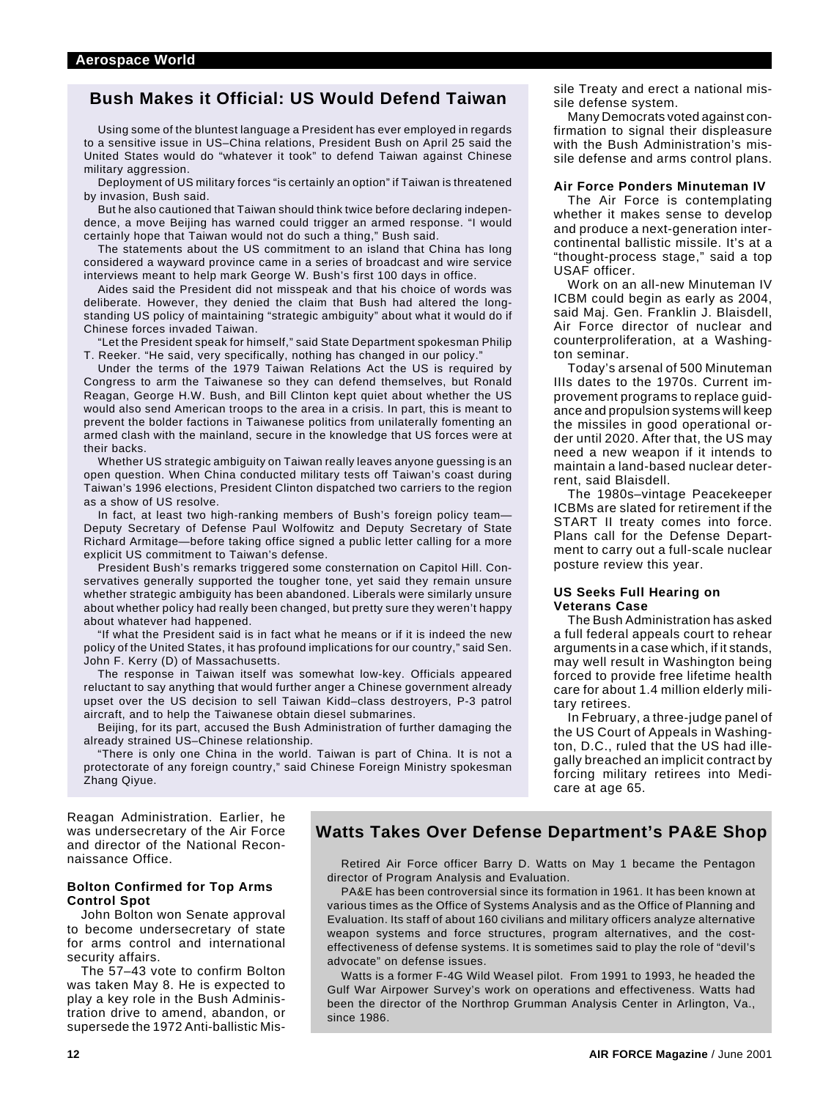## **Bush Makes it Official: US Would Defend Taiwan**

Using some of the bluntest language a President has ever employed in regards to a sensitive issue in US–China relations, President Bush on April 25 said the United States would do "whatever it took" to defend Taiwan against Chinese military aggression.

Deployment of US military forces "is certainly an option" if Taiwan is threatened by invasion, Bush said.

But he also cautioned that Taiwan should think twice before declaring independence, a move Beijing has warned could trigger an armed response. "I would certainly hope that Taiwan would not do such a thing," Bush said.

The statements about the US commitment to an island that China has long considered a wayward province came in a series of broadcast and wire service interviews meant to help mark George W. Bush's first 100 days in office.

Aides said the President did not misspeak and that his choice of words was deliberate. However, they denied the claim that Bush had altered the longstanding US policy of maintaining "strategic ambiguity" about what it would do if Chinese forces invaded Taiwan.

"Let the President speak for himself," said State Department spokesman Philip T. Reeker. "He said, very specifically, nothing has changed in our policy."

Under the terms of the 1979 Taiwan Relations Act the US is required by Congress to arm the Taiwanese so they can defend themselves, but Ronald Reagan, George H.W. Bush, and Bill Clinton kept quiet about whether the US would also send American troops to the area in a crisis. In part, this is meant to prevent the bolder factions in Taiwanese politics from unilaterally fomenting an armed clash with the mainland, secure in the knowledge that US forces were at their backs.

Whether US strategic ambiguity on Taiwan really leaves anyone guessing is an open question. When China conducted military tests off Taiwan's coast during Taiwan's 1996 elections, President Clinton dispatched two carriers to the region as a show of US resolve.

In fact, at least two high-ranking members of Bush's foreign policy team— Deputy Secretary of Defense Paul Wolfowitz and Deputy Secretary of State Richard Armitage—before taking office signed a public letter calling for a more explicit US commitment to Taiwan's defense.

President Bush's remarks triggered some consternation on Capitol Hill. Conservatives generally supported the tougher tone, yet said they remain unsure whether strategic ambiguity has been abandoned. Liberals were similarly unsure about whether policy had really been changed, but pretty sure they weren't happy about whatever had happened.

"If what the President said is in fact what he means or if it is indeed the new policy of the United States, it has profound implications for our country," said Sen. John F. Kerry (D) of Massachusetts.

The response in Taiwan itself was somewhat low-key. Officials appeared reluctant to say anything that would further anger a Chinese government already upset over the US decision to sell Taiwan Kidd–class destroyers, P-3 patrol aircraft, and to help the Taiwanese obtain diesel submarines.

Beijing, for its part, accused the Bush Administration of further damaging the already strained US–Chinese relationship.

"There is only one China in the world. Taiwan is part of China. It is not a protectorate of any foreign country," said Chinese Foreign Ministry spokesman Zhang Qiyue.

sile Treaty and erect a national missile defense system.

Many Democrats voted against confirmation to signal their displeasure with the Bush Administration's missile defense and arms control plans.

#### **Air Force Ponders Minuteman IV**

The Air Force is contemplating whether it makes sense to develop and produce a next-generation intercontinental ballistic missile. It's at a "thought-process stage," said a top USAF officer.

Work on an all-new Minuteman IV ICBM could begin as early as 2004, said Maj. Gen. Franklin J. Blaisdell, Air Force director of nuclear and counterproliferation, at a Washington seminar.

Today's arsenal of 500 Minuteman IIIs dates to the 1970s. Current improvement programs to replace guidance and propulsion systems will keep the missiles in good operational order until 2020. After that, the US may need a new weapon if it intends to maintain a land-based nuclear deterrent, said Blaisdell.

The 1980s–vintage Peacekeeper ICBMs are slated for retirement if the START II treaty comes into force. Plans call for the Defense Department to carry out a full-scale nuclear posture review this year.

#### **US Seeks Full Hearing on Veterans Case**

The Bush Administration has asked a full federal appeals court to rehear arguments in a case which, if it stands, may well result in Washington being forced to provide free lifetime health care for about 1.4 million elderly military retirees.

In February, a three-judge panel of the US Court of Appeals in Washington, D.C., ruled that the US had illegally breached an implicit contract by forcing military retirees into Medicare at age 65.

Reagan Administration. Earlier, he was undersecretary of the Air Force and director of the National Reconnaissance Office.

#### **Bolton Confirmed for Top Arms Control Spot**

John Bolton won Senate approval to become undersecretary of state for arms control and international security affairs.

The 57–43 vote to confirm Bolton was taken May 8. He is expected to play a key role in the Bush Administration drive to amend, abandon, or supersede the 1972 Anti-ballistic Mis-

## **Watts Takes Over Defense Department's PA&E Shop**

Retired Air Force officer Barry D. Watts on May 1 became the Pentagon director of Program Analysis and Evaluation.

PA&E has been controversial since its formation in 1961. It has been known at various times as the Office of Systems Analysis and as the Office of Planning and Evaluation. Its staff of about 160 civilians and military officers analyze alternative weapon systems and force structures, program alternatives, and the costeffectiveness of defense systems. It is sometimes said to play the role of "devil's advocate" on defense issues.

Watts is a former F-4G Wild Weasel pilot. From 1991 to 1993, he headed the Gulf War Airpower Survey's work on operations and effectiveness. Watts had been the director of the Northrop Grumman Analysis Center in Arlington, Va., since 1986.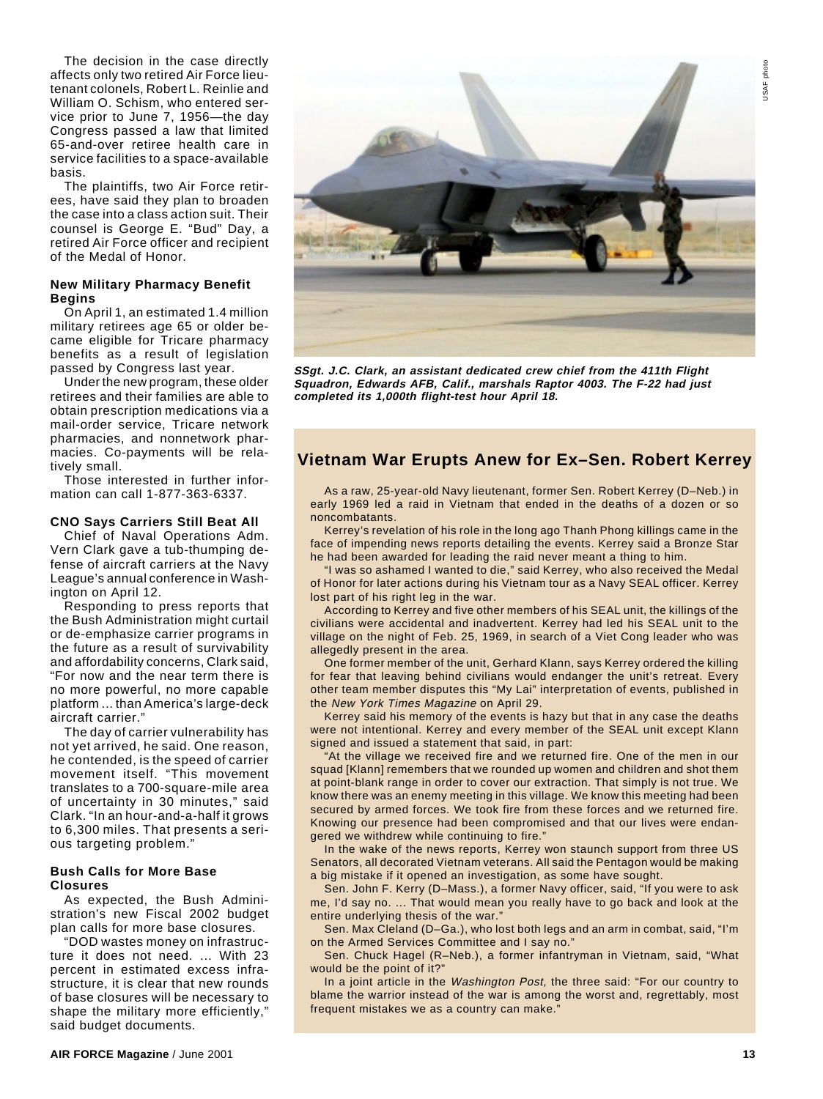The decision in the case directly affects only two retired Air Force lieutenant colonels, Robert L. Reinlie and William O. Schism, who entered service prior to June 7, 1956—the day Congress passed a law that limited 65-and-over retiree health care in service facilities to a space-available basis.

The plaintiffs, two Air Force retirees, have said they plan to broaden the case into a class action suit. Their counsel is George E. "Bud" Day, a retired Air Force officer and recipient of the Medal of Honor.

#### **New Military Pharmacy Benefit Begins**

On April 1, an estimated 1.4 million military retirees age 65 or older became eligible for Tricare pharmacy benefits as a result of legislation passed by Congress last year.

Under the new program, these older retirees and their families are able to obtain prescription medications via a mail-order service, Tricare network pharmacies, and nonnetwork pharmacies. Co-payments will be relatively small.

Those interested in further information can call 1-877-363-6337.

#### **CNO Says Carriers Still Beat All**

Chief of Naval Operations Adm. Vern Clark gave a tub-thumping defense of aircraft carriers at the Navy League's annual conference in Washington on April 12.

Responding to press reports that the Bush Administration might curtail or de-emphasize carrier programs in the future as a result of survivability and affordability concerns, Clark said, "For now and the near term there is no more powerful, no more capable platform ... than America's large-deck aircraft carrier."

The day of carrier vulnerability has not yet arrived, he said. One reason, he contended, is the speed of carrier movement itself. "This movement translates to a 700-square-mile area of uncertainty in 30 minutes," said Clark. "In an hour-and-a-half it grows to 6,300 miles. That presents a serious targeting problem."

#### **Bush Calls for More Base Closures**

As expected, the Bush Administration's new Fiscal 2002 budget plan calls for more base closures.

"DOD wastes money on infrastructure it does not need. ... With 23 percent in estimated excess infrastructure, it is clear that new rounds of base closures will be necessary to shape the military more efficiently," said budget documents.



**SSgt. J.C. Clark, an assistant dedicated crew chief from the 411th Flight Squadron, Edwards AFB, Calif., marshals Raptor 4003. The F-22 had just completed its 1,000th flight-test hour April 18.**

## **Vietnam War Erupts Anew for Ex–Sen. Robert Kerrey**

As a raw, 25-year-old Navy lieutenant, former Sen. Robert Kerrey (D–Neb.) in early 1969 led a raid in Vietnam that ended in the deaths of a dozen or so noncombatants.

Kerrey's revelation of his role in the long ago Thanh Phong killings came in the face of impending news reports detailing the events. Kerrey said a Bronze Star he had been awarded for leading the raid never meant a thing to him.

"I was so ashamed I wanted to die," said Kerrey, who also received the Medal of Honor for later actions during his Vietnam tour as a Navy SEAL officer. Kerrey lost part of his right leg in the war.

According to Kerrey and five other members of his SEAL unit, the killings of the civilians were accidental and inadvertent. Kerrey had led his SEAL unit to the village on the night of Feb. 25, 1969, in search of a Viet Cong leader who was allegedly present in the area.

One former member of the unit, Gerhard Klann, says Kerrey ordered the killing for fear that leaving behind civilians would endanger the unit's retreat. Every other team member disputes this "My Lai" interpretation of events, published in the New York Times Magazine on April 29.

Kerrey said his memory of the events is hazy but that in any case the deaths were not intentional. Kerrey and every member of the SEAL unit except Klann signed and issued a statement that said, in part:

"At the village we received fire and we returned fire. One of the men in our squad [Klann] remembers that we rounded up women and children and shot them at point-blank range in order to cover our extraction. That simply is not true. We know there was an enemy meeting in this village. We know this meeting had been secured by armed forces. We took fire from these forces and we returned fire. Knowing our presence had been compromised and that our lives were endangered we withdrew while continuing to fire."

In the wake of the news reports, Kerrey won staunch support from three US Senators, all decorated Vietnam veterans. All said the Pentagon would be making a big mistake if it opened an investigation, as some have sought.

Sen. John F. Kerry (D–Mass.), a former Navy officer, said, "If you were to ask me, I'd say no. ... That would mean you really have to go back and look at the entire underlying thesis of the war."

Sen. Max Cleland (D–Ga.), who lost both legs and an arm in combat, said, "I'm on the Armed Services Committee and I say no."

Sen. Chuck Hagel (R–Neb.), a former infantryman in Vietnam, said, "What would be the point of it?"

In a joint article in the Washington Post, the three said: "For our country to blame the warrior instead of the war is among the worst and, regrettably, most frequent mistakes we as a country can make."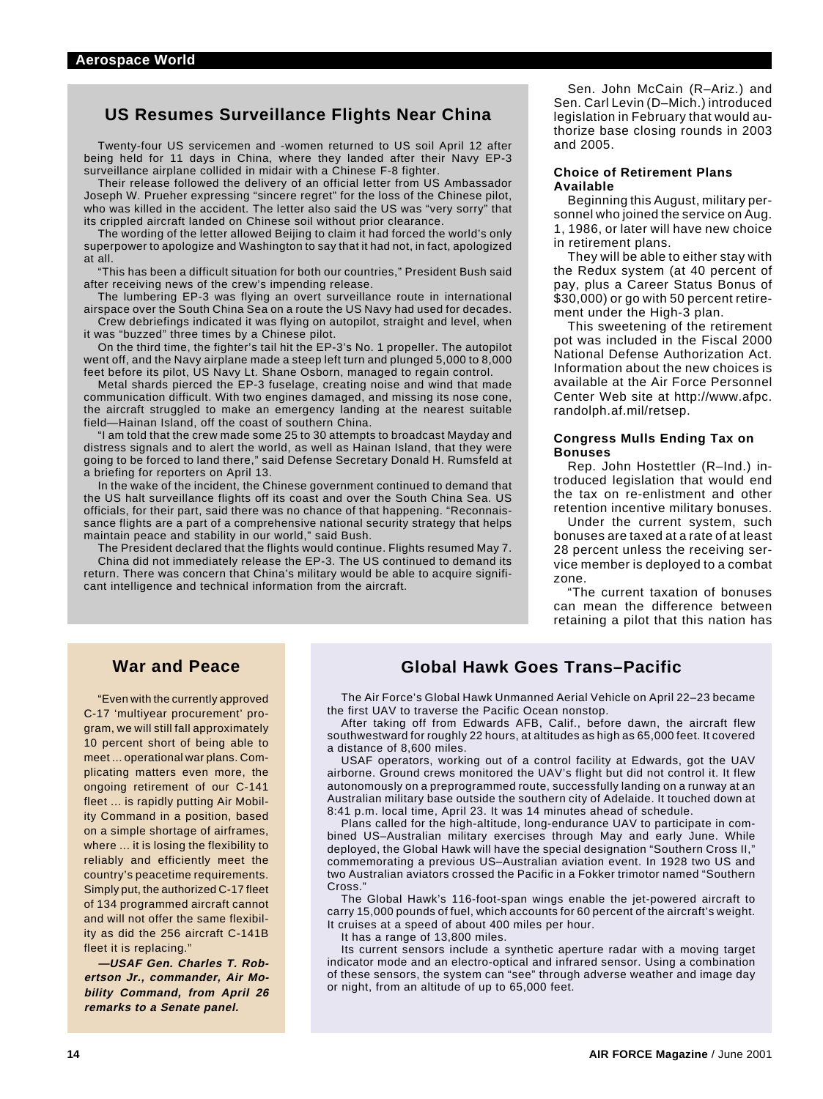## **US Resumes Surveillance Flights Near China**

Twenty-four US servicemen and -women returned to US soil April 12 after being held for 11 days in China, where they landed after their Navy EP-3 surveillance airplane collided in midair with a Chinese F-8 fighter.

Their release followed the delivery of an official letter from US Ambassador Joseph W. Prueher expressing "sincere regret" for the loss of the Chinese pilot, who was killed in the accident. The letter also said the US was "very sorry" that its crippled aircraft landed on Chinese soil without prior clearance.

The wording of the letter allowed Beijing to claim it had forced the world's only superpower to apologize and Washington to say that it had not, in fact, apologized at all.

This has been a difficult situation for both our countries," President Bush said after receiving news of the crew's impending release.

The lumbering EP-3 was flying an overt surveillance route in international airspace over the South China Sea on a route the US Navy had used for decades.

Crew debriefings indicated it was flying on autopilot, straight and level, when it was "buzzed" three times by a Chinese pilot.

On the third time, the fighter's tail hit the EP-3's No. 1 propeller. The autopilot went off, and the Navy airplane made a steep left turn and plunged 5,000 to 8,000 feet before its pilot, US Navy Lt. Shane Osborn, managed to regain control.

Metal shards pierced the EP-3 fuselage, creating noise and wind that made communication difficult. With two engines damaged, and missing its nose cone, the aircraft struggled to make an emergency landing at the nearest suitable field—Hainan Island, off the coast of southern China.

"I am told that the crew made some 25 to 30 attempts to broadcast Mayday and distress signals and to alert the world, as well as Hainan Island, that they were going to be forced to land there," said Defense Secretary Donald H. Rumsfeld at a briefing for reporters on April 13.

In the wake of the incident, the Chinese government continued to demand that the US halt surveillance flights off its coast and over the South China Sea. US officials, for their part, said there was no chance of that happening. "Reconnaissance flights are a part of a comprehensive national security strategy that helps maintain peace and stability in our world," said Bush.

The President declared that the flights would continue. Flights resumed May 7. China did not immediately release the EP-3. The US continued to demand its return. There was concern that China's military would be able to acquire significant intelligence and technical information from the aircraft.

Sen. John McCain (R–Ariz.) and Sen. Carl Levin (D–Mich.) introduced legislation in February that would authorize base closing rounds in 2003 and 2005.

#### **Choice of Retirement Plans Available**

Beginning this August, military personnel who joined the service on Aug. 1, 1986, or later will have new choice in retirement plans.

They will be able to either stay with the Redux system (at 40 percent of pay, plus a Career Status Bonus of \$30,000) or go with 50 percent retirement under the High-3 plan.

This sweetening of the retirement pot was included in the Fiscal 2000 National Defense Authorization Act. Information about the new choices is available at the Air Force Personnel Center Web site at http://www.afpc. randolph.af.mil/retsep.

#### **Congress Mulls Ending Tax on Bonuses**

Rep. John Hostettler (R–Ind.) introduced legislation that would end the tax on re-enlistment and other retention incentive military bonuses.

Under the current system, such bonuses are taxed at a rate of at least 28 percent unless the receiving service member is deployed to a combat zone.

"The current taxation of bonuses can mean the difference between retaining a pilot that this nation has

### **War and Peace**

"Even with the currently approved C-17 'multiyear procurement' program, we will still fall approximately 10 percent short of being able to meet ... operational war plans. Complicating matters even more, the ongoing retirement of our C-141 fleet ... is rapidly putting Air Mobility Command in a position, based on a simple shortage of airframes, where ... it is losing the flexibility to reliably and efficiently meet the country's peacetime requirements. Simply put, the authorized C-17 fleet of 134 programmed aircraft cannot and will not offer the same flexibility as did the 256 aircraft C-141B fleet it is replacing."

**—USAF Gen. Charles T. Robertson Jr., commander, Air Mobility Command, from April 26 remarks to a Senate panel.**

## **Global Hawk Goes Trans–Pacific**

The Air Force's Global Hawk Unmanned Aerial Vehicle on April 22–23 became the first UAV to traverse the Pacific Ocean nonstop.

After taking off from Edwards AFB, Calif., before dawn, the aircraft flew southwestward for roughly 22 hours, at altitudes as high as 65,000 feet. It covered a distance of 8,600 miles.

USAF operators, working out of a control facility at Edwards, got the UAV airborne. Ground crews monitored the UAV's flight but did not control it. It flew autonomously on a preprogrammed route, successfully landing on a runway at an Australian military base outside the southern city of Adelaide. It touched down at 8:41 p.m. local time, April 23. It was 14 minutes ahead of schedule.

Plans called for the high-altitude, long-endurance UAV to participate in combined US–Australian military exercises through May and early June. While deployed, the Global Hawk will have the special designation "Southern Cross II," commemorating a previous US–Australian aviation event. In 1928 two US and two Australian aviators crossed the Pacific in a Fokker trimotor named "Southern Cross<sup>'</sup>

The Global Hawk's 116-foot-span wings enable the jet-powered aircraft to carry 15,000 pounds of fuel, which accounts for 60 percent of the aircraft's weight. It cruises at a speed of about 400 miles per hour.

It has a range of 13,800 miles.

Its current sensors include a synthetic aperture radar with a moving target indicator mode and an electro-optical and infrared sensor. Using a combination of these sensors, the system can "see" through adverse weather and image day or night, from an altitude of up to 65,000 feet.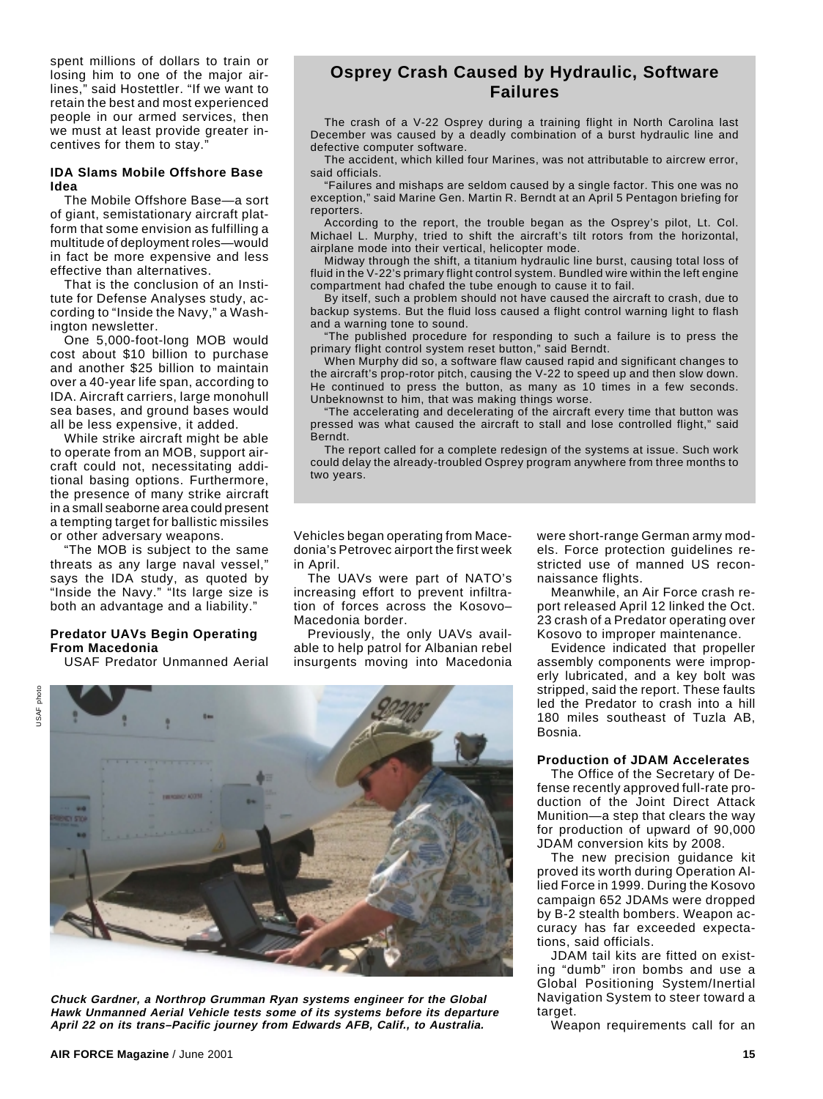spent millions of dollars to train or losing him to one of the major airlines," said Hostettler. "If we want to retain the best and most experienced people in our armed services, then we must at least provide greater incentives for them to stay.

#### **IDA Slams Mobile Offshore Base Idea**

The Mobile Offshore Base—a sort of giant, semistationary aircraft platform that some envision as fulfilling a multitude of deployment roles—would in fact be more expensive and less effective than alternatives.

That is the conclusion of an Institute for Defense Analyses study, according to "Inside the Navy," a Washington newsletter.

One 5,000-foot-long MOB would cost about \$10 billion to purchase and another \$25 billion to maintain over a 40-year life span, according to IDA. Aircraft carriers, large monohull sea bases, and ground bases would all be less expensive, it added.

While strike aircraft might be able to operate from an MOB, support aircraft could not, necessitating additional basing options. Furthermore, the presence of many strike aircraft in a small seaborne area could present a tempting target for ballistic missiles or other adversary weapons.

"The MOB is subject to the same threats as any large naval vessel," says the IDA study, as quoted by "Inside the Navy." "Its large size is both an advantage and a liability."

#### **Predator UAVs Begin Operating From Macedonia**

USAF Predator Unmanned Aerial

## **Osprey Crash Caused by Hydraulic, Software Failures**

The crash of a V-22 Osprey during a training flight in North Carolina last December was caused by a deadly combination of a burst hydraulic line and defective computer software.

The accident, which killed four Marines, was not attributable to aircrew error, said officials.

"Failures and mishaps are seldom caused by a single factor. This one was no exception," said Marine Gen. Martin R. Berndt at an April 5 Pentagon briefing for reporters.

According to the report, the trouble began as the Osprey's pilot, Lt. Col. Michael L. Murphy, tried to shift the aircraft's tilt rotors from the horizontal, airplane mode into their vertical, helicopter mode.

Midway through the shift, a titanium hydraulic line burst, causing total loss of fluid in the V-22's primary flight control system. Bundled wire within the left engine compartment had chafed the tube enough to cause it to fail.

By itself, such a problem should not have caused the aircraft to crash, due to backup systems. But the fluid loss caused a flight control warning light to flash and a warning tone to sound.

"The published procedure for responding to such a failure is to press the primary flight control system reset button," said Berndt.

When Murphy did so, a software flaw caused rapid and significant changes to the aircraft's prop-rotor pitch, causing the V-22 to speed up and then slow down. He continued to press the button, as many as 10 times in a few seconds. Unbeknownst to him, that was making things worse.

"The accelerating and decelerating of the aircraft every time that button was pressed was what caused the aircraft to stall and lose controlled flight," said Berndt.

The report called for a complete redesign of the systems at issue. Such work could delay the already-troubled Osprey program anywhere from three months to two years.

Vehicles began operating from Macedonia's Petrovec airport the first week in April.

The UAVs were part of NATO's increasing effort to prevent infiltration of forces across the Kosovo– Macedonia border.

Previously, the only UAVs available to help patrol for Albanian rebel insurgents moving into Macedonia



**Chuck Gardner, a Northrop Grumman Ryan systems engineer for the Global Hawk Unmanned Aerial Vehicle tests some of its systems before its departure April 22 on its trans–Pacific journey from Edwards AFB, Calif., to Australia.**

were short-range German army models. Force protection guidelines restricted use of manned US reconnaissance flights.

Meanwhile, an Air Force crash report released April 12 linked the Oct. 23 crash of a Predator operating over Kosovo to improper maintenance.

Evidence indicated that propeller assembly components were improperly lubricated, and a key bolt was stripped, said the report. These faults led the Predator to crash into a hill 180 miles southeast of Tuzla AB, Bosnia.

#### **Production of JDAM Accelerates**

The Office of the Secretary of Defense recently approved full-rate production of the Joint Direct Attack Munition—a step that clears the way for production of upward of 90,000 JDAM conversion kits by 2008.

The new precision guidance kit proved its worth during Operation Allied Force in 1999. During the Kosovo campaign 652 JDAMs were dropped by B-2 stealth bombers. Weapon accuracy has far exceeded expectations, said officials.

JDAM tail kits are fitted on existing "dumb" iron bombs and use a Global Positioning System/Inertial Navigation System to steer toward a target.

Weapon requirements call for an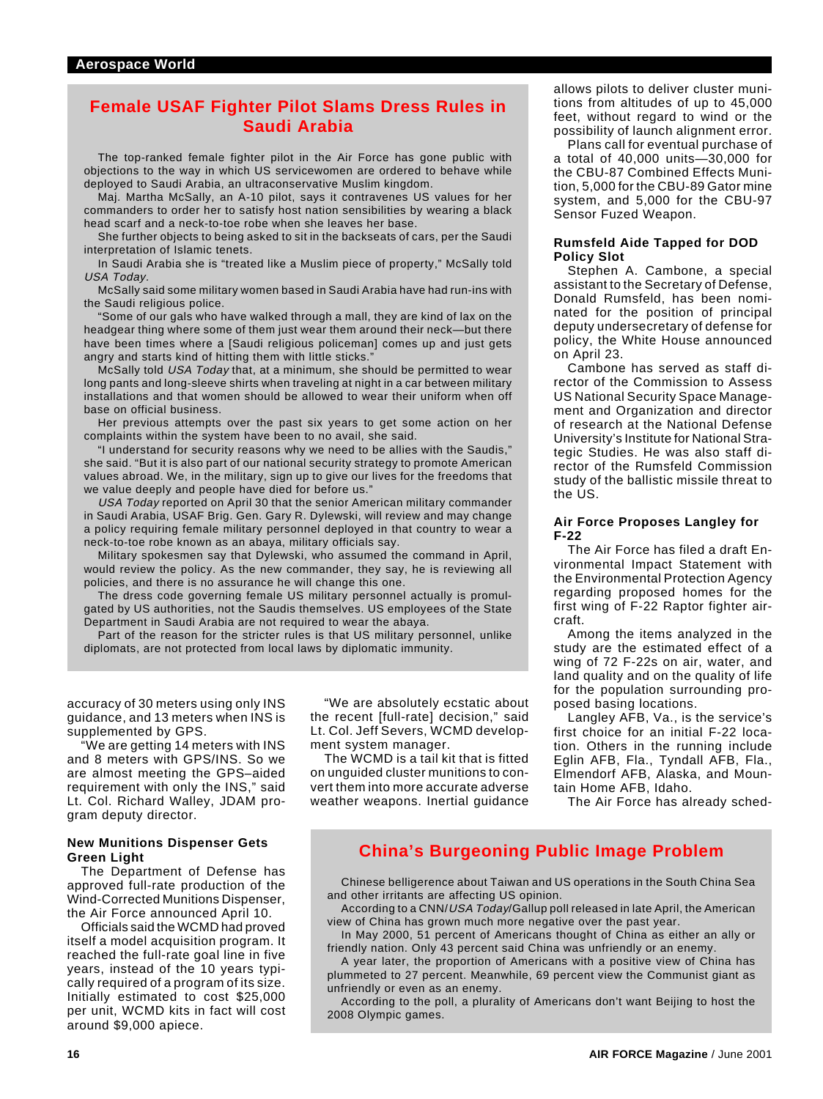## **Female USAF Fighter Pilot Slams Dress Rules in Saudi Arabia**

The top-ranked female fighter pilot in the Air Force has gone public with objections to the way in which US servicewomen are ordered to behave while deployed to Saudi Arabia, an ultraconservative Muslim kingdom.

Maj. Martha McSally, an A-10 pilot, says it contravenes US values for her commanders to order her to satisfy host nation sensibilities by wearing a black head scarf and a neck-to-toe robe when she leaves her base.

She further objects to being asked to sit in the backseats of cars, per the Saudi interpretation of Islamic tenets.

In Saudi Arabia she is "treated like a Muslim piece of property," McSally told USA Today.

McSally said some military women based in Saudi Arabia have had run-ins with the Saudi religious police.

"Some of our gals who have walked through a mall, they are kind of lax on the headgear thing where some of them just wear them around their neck—but there have been times where a [Saudi religious policeman] comes up and just gets angry and starts kind of hitting them with little sticks."

McSally told USA Today that, at a minimum, she should be permitted to wear long pants and long-sleeve shirts when traveling at night in a car between military installations and that women should be allowed to wear their uniform when off base on official business.

Her previous attempts over the past six years to get some action on her complaints within the system have been to no avail, she said.

"I understand for security reasons why we need to be allies with the Saudis," she said. "But it is also part of our national security strategy to promote American values abroad. We, in the military, sign up to give our lives for the freedoms that we value deeply and people have died for before us."

USA Today reported on April 30 that the senior American military commander in Saudi Arabia, USAF Brig. Gen. Gary R. Dylewski, will review and may change a policy requiring female military personnel deployed in that country to wear a neck-to-toe robe known as an abaya, military officials say.

Military spokesmen say that Dylewski, who assumed the command in April, would review the policy. As the new commander, they say, he is reviewing all policies, and there is no assurance he will change this one.

The dress code governing female US military personnel actually is promulgated by US authorities, not the Saudis themselves. US employees of the State Department in Saudi Arabia are not required to wear the abaya.

Part of the reason for the stricter rules is that US military personnel, unlike diplomats, are not protected from local laws by diplomatic immunity.

accuracy of 30 meters using only INS guidance, and 13 meters when INS is supplemented by GPS.

"We are getting 14 meters with INS and 8 meters with GPS/INS. So we are almost meeting the GPS–aided requirement with only the INS," said Lt. Col. Richard Walley, JDAM program deputy director.

#### **New Munitions Dispenser Gets Green Light**

The Department of Defense has approved full-rate production of the Wind-Corrected Munitions Dispenser, the Air Force announced April 10.

Officials said the WCMD had proved itself a model acquisition program. It reached the full-rate goal line in five years, instead of the 10 years typically required of a program of its size. Initially estimated to cost \$25,000 per unit, WCMD kits in fact will cost around \$9,000 apiece.

"We are absolutely ecstatic about the recent [full-rate] decision," said Lt. Col. Jeff Severs, WCMD development system manager.

The WCMD is a tail kit that is fitted on unguided cluster munitions to convert them into more accurate adverse weather weapons. Inertial guidance

allows pilots to deliver cluster munitions from altitudes of up to 45,000 feet, without regard to wind or the possibility of launch alignment error.

Plans call for eventual purchase of a total of 40,000 units—30,000 for the CBU-87 Combined Effects Munition, 5,000 for the CBU-89 Gator mine system, and 5,000 for the CBU-97 Sensor Fuzed Weapon.

#### **Rumsfeld Aide Tapped for DOD Policy Slot**

Stephen A. Cambone, a special assistant to the Secretary of Defense, Donald Rumsfeld, has been nominated for the position of principal deputy undersecretary of defense for policy, the White House announced on April 23.

Cambone has served as staff director of the Commission to Assess US National Security Space Management and Organization and director of research at the National Defense University's Institute for National Strategic Studies. He was also staff director of the Rumsfeld Commission study of the ballistic missile threat to the US.

#### **Air Force Proposes Langley for F-22**

The Air Force has filed a draft Environmental Impact Statement with the Environmental Protection Agency regarding proposed homes for the first wing of F-22 Raptor fighter aircraft.

Among the items analyzed in the study are the estimated effect of a wing of 72 F-22s on air, water, and land quality and on the quality of life for the population surrounding proposed basing locations.

Langley AFB, Va., is the service's first choice for an initial F-22 location. Others in the running include Eglin AFB, Fla., Tyndall AFB, Fla., Elmendorf AFB, Alaska, and Mountain Home AFB, Idaho.

The Air Force has already sched-

## **China's Burgeoning Public Image Problem**

Chinese belligerence about Taiwan and US operations in the South China Sea and other irritants are affecting US opinion.

According to a CNN/USA Today/Gallup poll released in late April, the American view of China has grown much more negative over the past year.

In May 2000, 51 percent of Americans thought of China as either an ally or friendly nation. Only 43 percent said China was unfriendly or an enemy.

A year later, the proportion of Americans with a positive view of China has plummeted to 27 percent. Meanwhile, 69 percent view the Communist giant as unfriendly or even as an enemy.

According to the poll, a plurality of Americans don't want Beijing to host the 2008 Olympic games.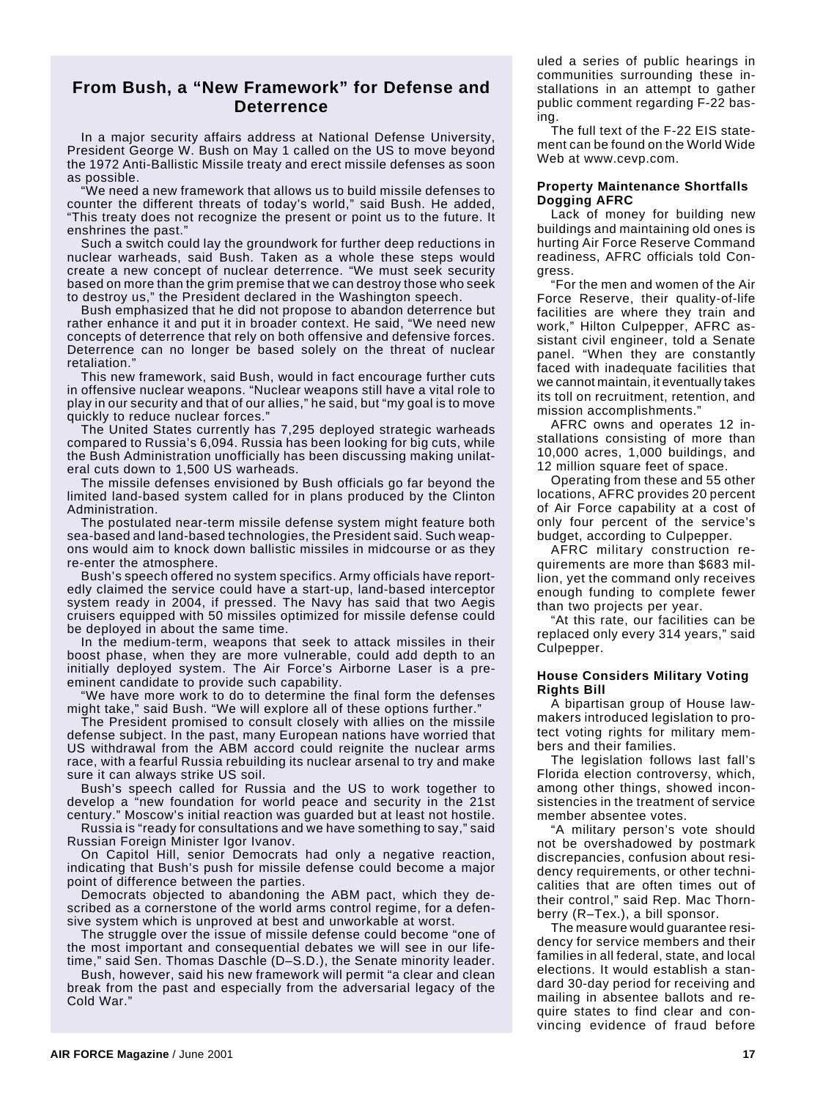## **From Bush, a "New Framework" for Defense and Deterrence**

In a major security affairs address at National Defense University, President George W. Bush on May 1 called on the US to move beyond the 1972 Anti-Ballistic Missile treaty and erect missile defenses as soon as possible.

"We need a new framework that allows us to build missile defenses to counter the different threats of today's world," said Bush. He added, "This treaty does not recognize the present or point us to the future. It enshrines the past."

Such a switch could lay the groundwork for further deep reductions in nuclear warheads, said Bush. Taken as a whole these steps would create a new concept of nuclear deterrence. "We must seek security based on more than the grim premise that we can destroy those who seek to destroy us," the President declared in the Washington speech.

Bush emphasized that he did not propose to abandon deterrence but rather enhance it and put it in broader context. He said, "We need new concepts of deterrence that rely on both offensive and defensive forces. Deterrence can no longer be based solely on the threat of nuclear retaliation."

This new framework, said Bush, would in fact encourage further cuts in offensive nuclear weapons. "Nuclear weapons still have a vital role to play in our security and that of our allies," he said, but "my goal is to move quickly to reduce nuclear forces.

The United States currently has 7,295 deployed strategic warheads compared to Russia's 6,094. Russia has been looking for big cuts, while the Bush Administration unofficially has been discussing making unilateral cuts down to 1,500 US warheads.

The missile defenses envisioned by Bush officials go far beyond the limited land-based system called for in plans produced by the Clinton Administration.

The postulated near-term missile defense system might feature both sea-based and land-based technologies, the President said. Such weapons would aim to knock down ballistic missiles in midcourse or as they re-enter the atmosphere.

Bush's speech offered no system specifics. Army officials have reportedly claimed the service could have a start-up, land-based interceptor system ready in 2004, if pressed. The Navy has said that two Aegis cruisers equipped with 50 missiles optimized for missile defense could be deployed in about the same time.

In the medium-term, weapons that seek to attack missiles in their boost phase, when they are more vulnerable, could add depth to an initially deployed system. The Air Force's Airborne Laser is a preeminent candidate to provide such capability.

We have more work to do to determine the final form the defenses might take," said Bush. "We will explore all of these options further."

The President promised to consult closely with allies on the missile defense subject. In the past, many European nations have worried that US withdrawal from the ABM accord could reignite the nuclear arms race, with a fearful Russia rebuilding its nuclear arsenal to try and make sure it can always strike US soil.

Bush's speech called for Russia and the US to work together to develop a "new foundation for world peace and security in the 21st century." Moscow's initial reaction was guarded but at least not hostile.

Russia is "ready for consultations and we have something to say," said Russian Foreign Minister Igor Ivanov.

On Capitol Hill, senior Democrats had only a negative reaction, indicating that Bush's push for missile defense could become a major point of difference between the parties.

Democrats objected to abandoning the ABM pact, which they described as a cornerstone of the world arms control regime, for a defensive system which is unproved at best and unworkable at worst.

The struggle over the issue of missile defense could become "one of the most important and consequential debates we will see in our lifetime," said Sen. Thomas Daschle (D–S.D.), the Senate minority leader.

Bush, however, said his new framework will permit "a clear and clean break from the past and especially from the adversarial legacy of the Cold War."

uled a series of public hearings in communities surrounding these installations in an attempt to gather public comment regarding F-22 basing.

The full text of the F-22 EIS statement can be found on the World Wide Web at www.cevp.com.

#### **Property Maintenance Shortfalls Dogging AFRC**

Lack of money for building new buildings and maintaining old ones is hurting Air Force Reserve Command readiness, AFRC officials told Congress.

"For the men and women of the Air Force Reserve, their quality-of-life facilities are where they train and work," Hilton Culpepper, AFRC assistant civil engineer, told a Senate panel. "When they are constantly faced with inadequate facilities that we cannot maintain, it eventually takes its toll on recruitment, retention, and mission accomplishments."

AFRC owns and operates 12 installations consisting of more than 10,000 acres, 1,000 buildings, and 12 million square feet of space.

Operating from these and 55 other locations, AFRC provides 20 percent of Air Force capability at a cost of only four percent of the service's budget, according to Culpepper.

AFRC military construction requirements are more than \$683 million, yet the command only receives enough funding to complete fewer than two projects per year.

"At this rate, our facilities can be replaced only every 314 years," said Culpepper.

#### **House Considers Military Voting Rights Bill**

A bipartisan group of House lawmakers introduced legislation to protect voting rights for military members and their families.

The legislation follows last fall's Florida election controversy, which, among other things, showed inconsistencies in the treatment of service member absentee votes.

"A military person's vote should not be overshadowed by postmark discrepancies, confusion about residency requirements, or other technicalities that are often times out of their control," said Rep. Mac Thornberry (R–Tex.), a bill sponsor.

The measure would guarantee residency for service members and their families in all federal, state, and local elections. It would establish a standard 30-day period for receiving and mailing in absentee ballots and require states to find clear and convincing evidence of fraud before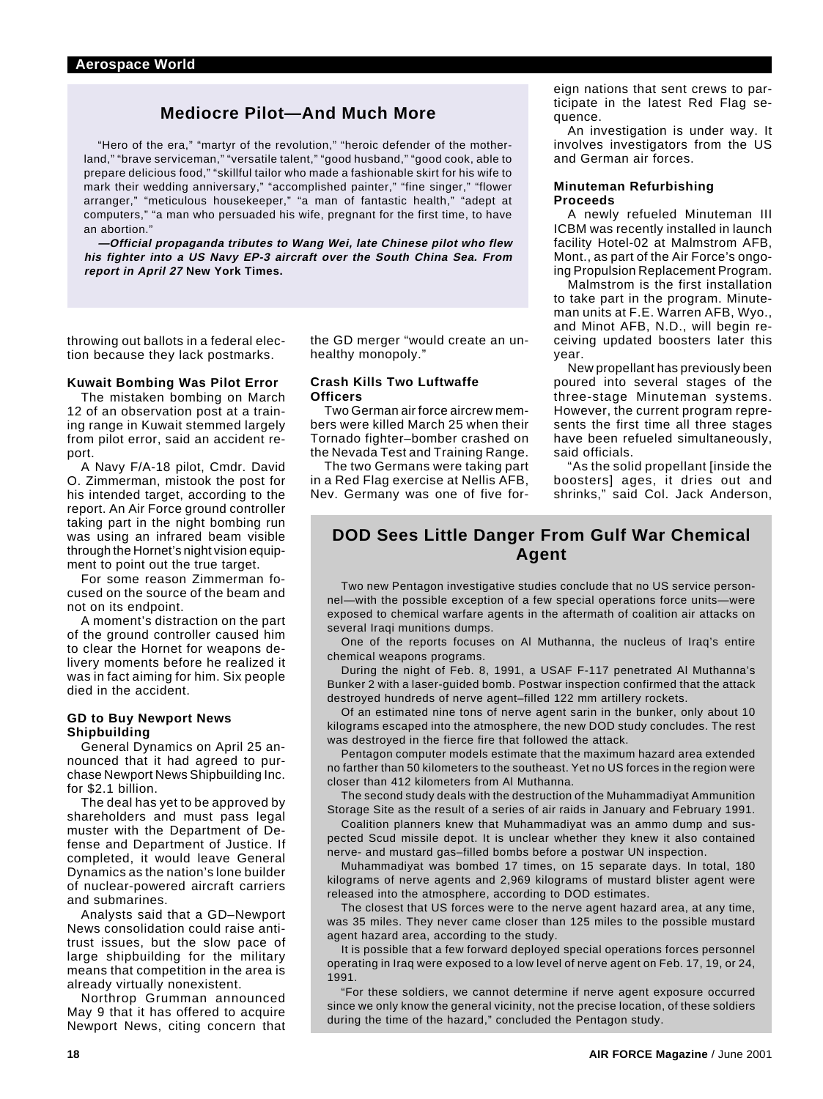## **Mediocre Pilot—And Much More**

"Hero of the era," "martyr of the revolution," "heroic defender of the motherland," "brave serviceman," "versatile talent," "good husband," "good cook, able to prepare delicious food," "skillful tailor who made a fashionable skirt for his wife to mark their wedding anniversary," "accomplished painter," "fine singer," "flower arranger," "meticulous housekeeper," "a man of fantastic health," "adept at computers," "a man who persuaded his wife, pregnant for the first time, to have an abortion."

**—Official propaganda tributes to Wang Wei, late Chinese pilot who flew his fighter into a US Navy EP-3 aircraft over the South China Sea. From report in April 27 New York Times.**

throwing out ballots in a federal election because they lack postmarks.

### **Kuwait Bombing Was Pilot Error**

The mistaken bombing on March 12 of an observation post at a training range in Kuwait stemmed largely from pilot error, said an accident report.

A Navy F/A-18 pilot, Cmdr. David O. Zimmerman, mistook the post for his intended target, according to the report. An Air Force ground controller taking part in the night bombing run was using an infrared beam visible through the Hornet's night vision equipment to point out the true target.

For some reason Zimmerman focused on the source of the beam and not on its endpoint.

A moment's distraction on the part of the ground controller caused him to clear the Hornet for weapons delivery moments before he realized it was in fact aiming for him. Six people died in the accident.

#### **GD to Buy Newport News Shipbuilding**

General Dynamics on April 25 announced that it had agreed to purchase Newport News Shipbuilding Inc. for \$2.1 billion.

The deal has yet to be approved by shareholders and must pass legal muster with the Department of Defense and Department of Justice. If completed, it would leave General Dynamics as the nation's lone builder of nuclear-powered aircraft carriers and submarines.

Analysts said that a GD–Newport News consolidation could raise antitrust issues, but the slow pace of large shipbuilding for the military means that competition in the area is already virtually nonexistent.

Northrop Grumman announced May 9 that it has offered to acquire Newport News, citing concern that

the GD merger "would create an unhealthy monopoly."

#### **Crash Kills Two Luftwaffe Officers**

Two German air force aircrew members were killed March 25 when their Tornado fighter–bomber crashed on the Nevada Test and Training Range.

The two Germans were taking part in a Red Flag exercise at Nellis AFB, Nev. Germany was one of five foreign nations that sent crews to participate in the latest Red Flag sequence.

An investigation is under way. It involves investigators from the US and German air forces.

#### **Minuteman Refurbishing Proceeds**

A newly refueled Minuteman III ICBM was recently installed in launch facility Hotel-02 at Malmstrom AFB, Mont., as part of the Air Force's ongoing Propulsion Replacement Program.

Malmstrom is the first installation to take part in the program. Minuteman units at F.E. Warren AFB, Wyo., and Minot AFB, N.D., will begin receiving updated boosters later this year.

New propellant has previously been poured into several stages of the three-stage Minuteman systems. However, the current program represents the first time all three stages have been refueled simultaneously, said officials.

"As the solid propellant [inside the boosters] ages, it dries out and shrinks," said Col. Jack Anderson,

## **DOD Sees Little Danger From Gulf War Chemical Agent**

Two new Pentagon investigative studies conclude that no US service personnel—with the possible exception of a few special operations force units—were exposed to chemical warfare agents in the aftermath of coalition air attacks on several Iraqi munitions dumps.

One of the reports focuses on Al Muthanna, the nucleus of Iraq's entire chemical weapons programs.

During the night of Feb. 8, 1991, a USAF F-117 penetrated Al Muthanna's Bunker 2 with a laser-guided bomb. Postwar inspection confirmed that the attack destroyed hundreds of nerve agent–filled 122 mm artillery rockets.

Of an estimated nine tons of nerve agent sarin in the bunker, only about 10 kilograms escaped into the atmosphere, the new DOD study concludes. The rest was destroyed in the fierce fire that followed the attack.

Pentagon computer models estimate that the maximum hazard area extended no farther than 50 kilometers to the southeast. Yet no US forces in the region were closer than 412 kilometers from Al Muthanna.

The second study deals with the destruction of the Muhammadiyat Ammunition Storage Site as the result of a series of air raids in January and February 1991.

Coalition planners knew that Muhammadiyat was an ammo dump and suspected Scud missile depot. It is unclear whether they knew it also contained nerve- and mustard gas–filled bombs before a postwar UN inspection.

Muhammadiyat was bombed 17 times, on 15 separate days. In total, 180 kilograms of nerve agents and 2,969 kilograms of mustard blister agent were released into the atmosphere, according to DOD estimates.

The closest that US forces were to the nerve agent hazard area, at any time, was 35 miles. They never came closer than 125 miles to the possible mustard agent hazard area, according to the study.

It is possible that a few forward deployed special operations forces personnel operating in Iraq were exposed to a low level of nerve agent on Feb. 17, 19, or 24, 1991.

"For these soldiers, we cannot determine if nerve agent exposure occurred since we only know the general vicinity, not the precise location, of these soldiers during the time of the hazard," concluded the Pentagon study.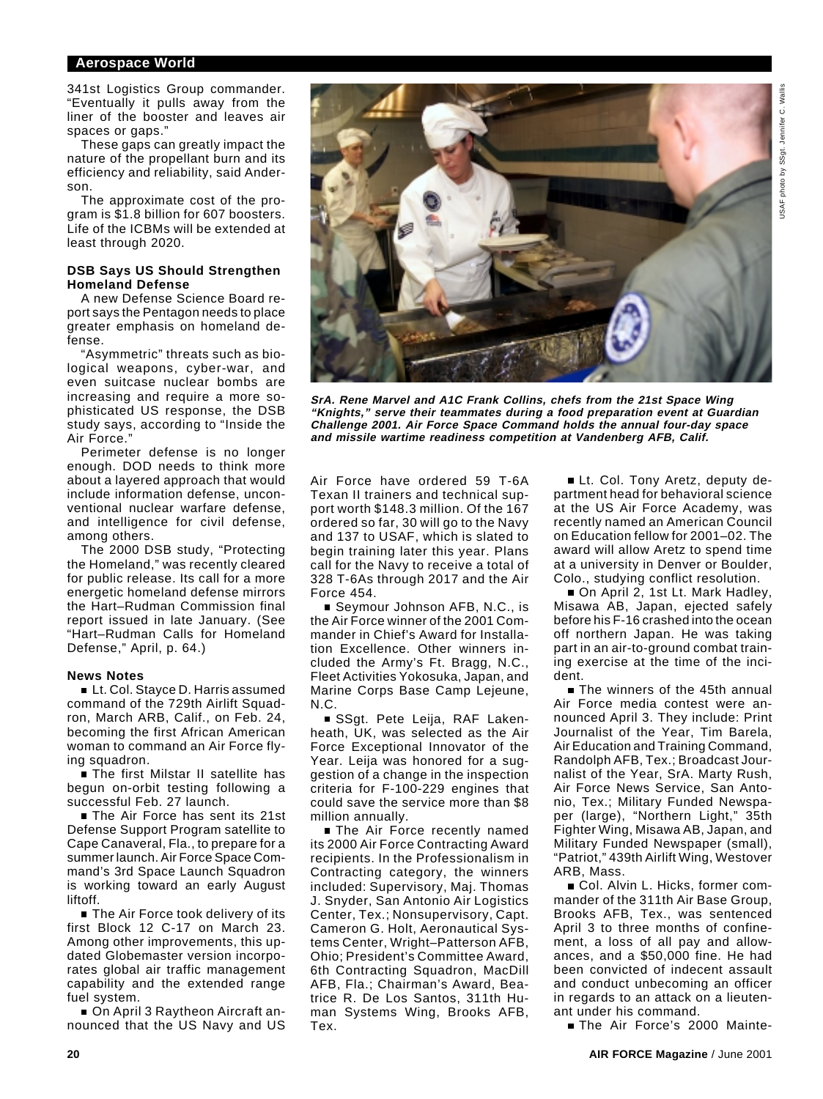#### **Aerospace World**

341st Logistics Group commander. "Eventually it pulls away from the liner of the booster and leaves air spaces or gaps."

These gaps can greatly impact the nature of the propellant burn and its efficiency and reliability, said Anderson.

The approximate cost of the program is \$1.8 billion for 607 boosters. Life of the ICBMs will be extended at least through 2020.

#### **DSB Says US Should Strengthen Homeland Defense**

A new Defense Science Board report says the Pentagon needs to place greater emphasis on homeland defense.

"Asymmetric" threats such as biological weapons, cyber-war, and even suitcase nuclear bombs are increasing and require a more sophisticated US response, the DSB study says, according to "Inside the Air Force."

Perimeter defense is no longer enough. DOD needs to think more about a layered approach that would include information defense, unconventional nuclear warfare defense, and intelligence for civil defense, among others.

The 2000 DSB study, "Protecting the Homeland," was recently cleared for public release. Its call for a more energetic homeland defense mirrors the Hart–Rudman Commission final report issued in late January. (See "Hart–Rudman Calls for Homeland Defense," April, p. 64.)

#### **News Notes**

■ Lt. Col. Stayce D. Harris assumed command of the 729th Airlift Squadron, March ARB, Calif., on Feb. 24, becoming the first African American woman to command an Air Force flying squadron.

**Filmer Filte State II satellite has** begun on-orbit testing following a successful Feb. 27 launch.

■ The Air Force has sent its 21st Defense Support Program satellite to Cape Canaveral, Fla., to prepare for a summer launch. Air Force Space Command's 3rd Space Launch Squadron is working toward an early August liftoff.

■ The Air Force took delivery of its first Block 12 C-17 on March 23. Among other improvements, this updated Globemaster version incorporates global air traffic management capability and the extended range fuel system.

■ On April 3 Raytheon Aircraft announced that the US Navy and US



**SrA. Rene Marvel and A1C Frank Collins, chefs from the 21st Space Wing "Knights," serve their teammates during a food preparation event at Guardian Challenge 2001. Air Force Space Command holds the annual four-day space and missile wartime readiness competition at Vandenberg AFB, Calif.**

Air Force have ordered 59 T-6A Texan II trainers and technical support worth \$148.3 million. Of the 167 ordered so far, 30 will go to the Navy and 137 to USAF, which is slated to begin training later this year. Plans call for the Navy to receive a total of 328 T-6As through 2017 and the Air Force 454.

■ Seymour Johnson AFB, N.C., is the Air Force winner of the 2001 Commander in Chief's Award for Installation Excellence. Other winners included the Army's Ft. Bragg, N.C., Fleet Activities Yokosuka, Japan, and Marine Corps Base Camp Lejeune, N.C.

SSgt. Pete Leija, RAF Lakenheath, UK, was selected as the Air Force Exceptional Innovator of the Year. Leija was honored for a suggestion of a change in the inspection criteria for F-100-229 engines that could save the service more than \$8 million annually.

**The Air Force recently named** its 2000 Air Force Contracting Award recipients. In the Professionalism in Contracting category, the winners included: Supervisory, Maj. Thomas J. Snyder, San Antonio Air Logistics Center, Tex.; Nonsupervisory, Capt. Cameron G. Holt, Aeronautical Systems Center, Wright–Patterson AFB, Ohio; President's Committee Award, 6th Contracting Squadron, MacDill AFB, Fla.; Chairman's Award, Beatrice R. De Los Santos, 311th Human Systems Wing, Brooks AFB, Tex.

Lt. Col. Tony Aretz, deputy department head for behavioral science at the US Air Force Academy, was recently named an American Council on Education fellow for 2001–02. The award will allow Aretz to spend time at a university in Denver or Boulder, Colo., studying conflict resolution.

■ On April 2, 1st Lt. Mark Hadley, Misawa AB, Japan, ejected safely before his F-16 crashed into the ocean off northern Japan. He was taking part in an air-to-ground combat training exercise at the time of the incident.

The winners of the 45th annual Air Force media contest were announced April 3. They include: Print Journalist of the Year, Tim Barela, Air Education and Training Command, Randolph AFB, Tex.; Broadcast Journalist of the Year, SrA. Marty Rush, Air Force News Service, San Antonio, Tex.; Military Funded Newspaper (large), "Northern Light," 35th Fighter Wing, Misawa AB, Japan, and Military Funded Newspaper (small), "Patriot," 439th Airlift Wing, Westover ARB, Mass.

■ Col. Alvin L. Hicks, former commander of the 311th Air Base Group, Brooks AFB, Tex., was sentenced April 3 to three months of confinement, a loss of all pay and allowances, and a \$50,000 fine. He had been convicted of indecent assault and conduct unbecoming an officer in regards to an attack on a lieutenant under his command.

The Air Force's 2000 Mainte-